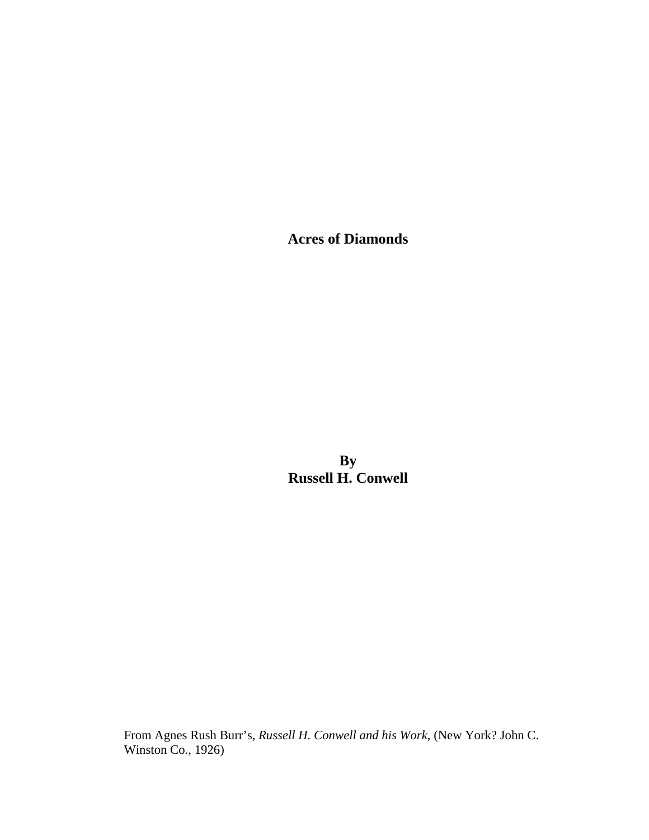**Acres of Diamonds** 

**By Russell H. Conwell** 

From Agnes Rush Burr's, *Russell H. Conwell and his Work*, (New York? John C. Winston Co., 1926)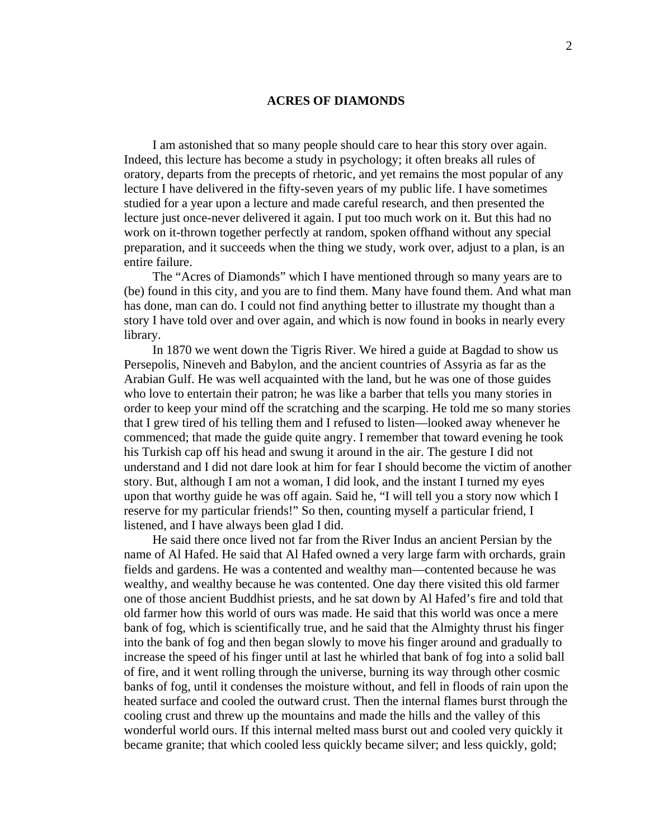## **ACRES OF DIAMONDS**

I am astonished that so many people should care to hear this story over again. Indeed, this lecture has become a study in psychology; it often breaks all rules of oratory, departs from the precepts of rhetoric, and yet remains the most popular of any lecture I have delivered in the fifty-seven years of my public life. I have sometimes studied for a year upon a lecture and made careful research, and then presented the lecture just once-never delivered it again. I put too much work on it. But this had no work on it-thrown together perfectly at random, spoken offhand without any special preparation, and it succeeds when the thing we study, work over, adjust to a plan, is an entire failure.

 The "Acres of Diamonds" which I have mentioned through so many years are to (be) found in this city, and you are to find them. Many have found them. And what man has done, man can do. I could not find anything better to illustrate my thought than a story I have told over and over again, and which is now found in books in nearly every library.

 In 1870 we went down the Tigris River. We hired a guide at Bagdad to show us Persepolis, Nineveh and Babylon, and the ancient countries of Assyria as far as the Arabian Gulf. He was well acquainted with the land, but he was one of those guides who love to entertain their patron; he was like a barber that tells you many stories in order to keep your mind off the scratching and the scarping. He told me so many stories that I grew tired of his telling them and I refused to listen—looked away whenever he commenced; that made the guide quite angry. I remember that toward evening he took his Turkish cap off his head and swung it around in the air. The gesture I did not understand and I did not dare look at him for fear I should become the victim of another story. But, although I am not a woman, I did look, and the instant I turned my eyes upon that worthy guide he was off again. Said he, "I will tell you a story now which I reserve for my particular friends!" So then, counting myself a particular friend, I listened, and I have always been glad I did.

 He said there once lived not far from the River Indus an ancient Persian by the name of Al Hafed. He said that Al Hafed owned a very large farm with orchards, grain fields and gardens. He was a contented and wealthy man—contented because he was wealthy, and wealthy because he was contented. One day there visited this old farmer one of those ancient Buddhist priests, and he sat down by Al Hafed's fire and told that old farmer how this world of ours was made. He said that this world was once a mere bank of fog, which is scientifically true, and he said that the Almighty thrust his finger into the bank of fog and then began slowly to move his finger around and gradually to increase the speed of his finger until at last he whirled that bank of fog into a solid ball of fire, and it went rolling through the universe, burning its way through other cosmic banks of fog, until it condenses the moisture without, and fell in floods of rain upon the heated surface and cooled the outward crust. Then the internal flames burst through the cooling crust and threw up the mountains and made the hills and the valley of this wonderful world ours. If this internal melted mass burst out and cooled very quickly it became granite; that which cooled less quickly became silver; and less quickly, gold;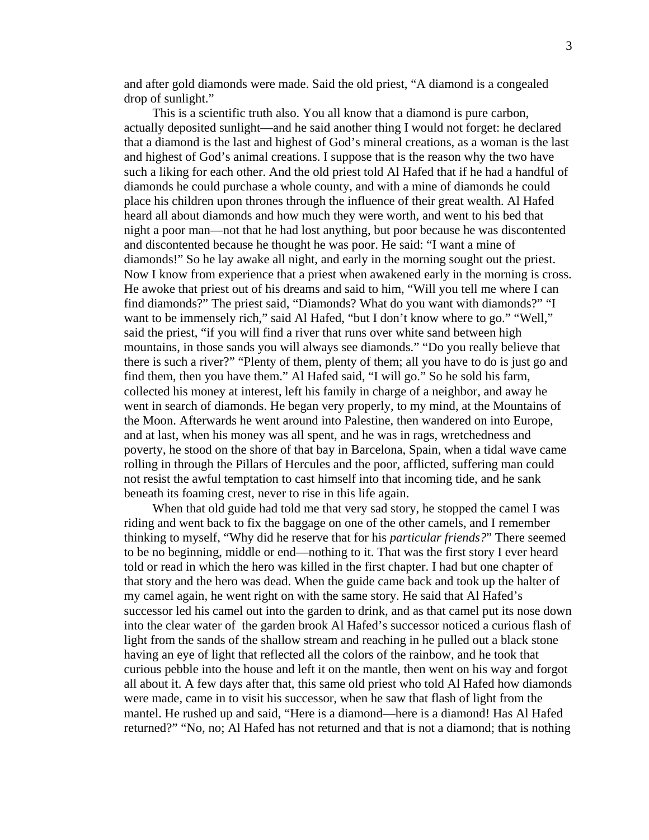and after gold diamonds were made. Said the old priest, "A diamond is a congealed drop of sunlight."

 This is a scientific truth also. You all know that a diamond is pure carbon, actually deposited sunlight—and he said another thing I would not forget: he declared that a diamond is the last and highest of God's mineral creations, as a woman is the last and highest of God's animal creations. I suppose that is the reason why the two have such a liking for each other. And the old priest told Al Hafed that if he had a handful of diamonds he could purchase a whole county, and with a mine of diamonds he could place his children upon thrones through the influence of their great wealth. Al Hafed heard all about diamonds and how much they were worth, and went to his bed that night a poor man—not that he had lost anything, but poor because he was discontented and discontented because he thought he was poor. He said: "I want a mine of diamonds!" So he lay awake all night, and early in the morning sought out the priest. Now I know from experience that a priest when awakened early in the morning is cross. He awoke that priest out of his dreams and said to him, "Will you tell me where I can find diamonds?" The priest said, "Diamonds? What do you want with diamonds?" "I want to be immensely rich," said Al Hafed, "but I don't know where to go." "Well," said the priest, "if you will find a river that runs over white sand between high mountains, in those sands you will always see diamonds." "Do you really believe that there is such a river?" "Plenty of them, plenty of them; all you have to do is just go and find them, then you have them." Al Hafed said, "I will go." So he sold his farm, collected his money at interest, left his family in charge of a neighbor, and away he went in search of diamonds. He began very properly, to my mind, at the Mountains of the Moon. Afterwards he went around into Palestine, then wandered on into Europe, and at last, when his money was all spent, and he was in rags, wretchedness and poverty, he stood on the shore of that bay in Barcelona, Spain, when a tidal wave came rolling in through the Pillars of Hercules and the poor, afflicted, suffering man could not resist the awful temptation to cast himself into that incoming tide, and he sank beneath its foaming crest, never to rise in this life again.

 When that old guide had told me that very sad story, he stopped the camel I was riding and went back to fix the baggage on one of the other camels, and I remember thinking to myself, "Why did he reserve that for his *particular friends?*" There seemed to be no beginning, middle or end—nothing to it. That was the first story I ever heard told or read in which the hero was killed in the first chapter. I had but one chapter of that story and the hero was dead. When the guide came back and took up the halter of my camel again, he went right on with the same story. He said that Al Hafed's successor led his camel out into the garden to drink, and as that camel put its nose down into the clear water of the garden brook Al Hafed's successor noticed a curious flash of light from the sands of the shallow stream and reaching in he pulled out a black stone having an eye of light that reflected all the colors of the rainbow, and he took that curious pebble into the house and left it on the mantle, then went on his way and forgot all about it. A few days after that, this same old priest who told Al Hafed how diamonds were made, came in to visit his successor, when he saw that flash of light from the mantel. He rushed up and said, "Here is a diamond—here is a diamond! Has Al Hafed returned?" "No, no; Al Hafed has not returned and that is not a diamond; that is nothing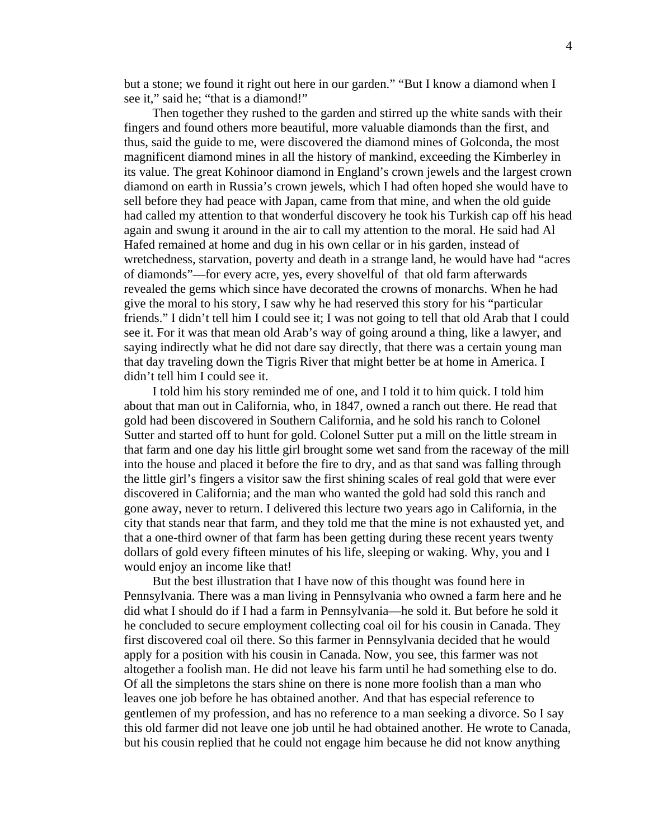but a stone; we found it right out here in our garden." "But I know a diamond when I see it," said he; "that is a diamond!"

 Then together they rushed to the garden and stirred up the white sands with their fingers and found others more beautiful, more valuable diamonds than the first, and thus, said the guide to me, were discovered the diamond mines of Golconda, the most magnificent diamond mines in all the history of mankind, exceeding the Kimberley in its value. The great Kohinoor diamond in England's crown jewels and the largest crown diamond on earth in Russia's crown jewels, which I had often hoped she would have to sell before they had peace with Japan, came from that mine, and when the old guide had called my attention to that wonderful discovery he took his Turkish cap off his head again and swung it around in the air to call my attention to the moral. He said had Al Hafed remained at home and dug in his own cellar or in his garden, instead of wretchedness, starvation, poverty and death in a strange land, he would have had "acres of diamonds"—for every acre, yes, every shovelful of that old farm afterwards revealed the gems which since have decorated the crowns of monarchs. When he had give the moral to his story, I saw why he had reserved this story for his "particular friends." I didn't tell him I could see it; I was not going to tell that old Arab that I could see it. For it was that mean old Arab's way of going around a thing, like a lawyer, and saying indirectly what he did not dare say directly, that there was a certain young man that day traveling down the Tigris River that might better be at home in America. I didn't tell him I could see it.

 I told him his story reminded me of one, and I told it to him quick. I told him about that man out in California, who, in 1847, owned a ranch out there. He read that gold had been discovered in Southern California, and he sold his ranch to Colonel Sutter and started off to hunt for gold. Colonel Sutter put a mill on the little stream in that farm and one day his little girl brought some wet sand from the raceway of the mill into the house and placed it before the fire to dry, and as that sand was falling through the little girl's fingers a visitor saw the first shining scales of real gold that were ever discovered in California; and the man who wanted the gold had sold this ranch and gone away, never to return. I delivered this lecture two years ago in California, in the city that stands near that farm, and they told me that the mine is not exhausted yet, and that a one-third owner of that farm has been getting during these recent years twenty dollars of gold every fifteen minutes of his life, sleeping or waking. Why, you and I would enjoy an income like that!

 But the best illustration that I have now of this thought was found here in Pennsylvania. There was a man living in Pennsylvania who owned a farm here and he did what I should do if I had a farm in Pennsylvania—he sold it. But before he sold it he concluded to secure employment collecting coal oil for his cousin in Canada. They first discovered coal oil there. So this farmer in Pennsylvania decided that he would apply for a position with his cousin in Canada. Now, you see, this farmer was not altogether a foolish man. He did not leave his farm until he had something else to do. Of all the simpletons the stars shine on there is none more foolish than a man who leaves one job before he has obtained another. And that has especial reference to gentlemen of my profession, and has no reference to a man seeking a divorce. So I say this old farmer did not leave one job until he had obtained another. He wrote to Canada, but his cousin replied that he could not engage him because he did not know anything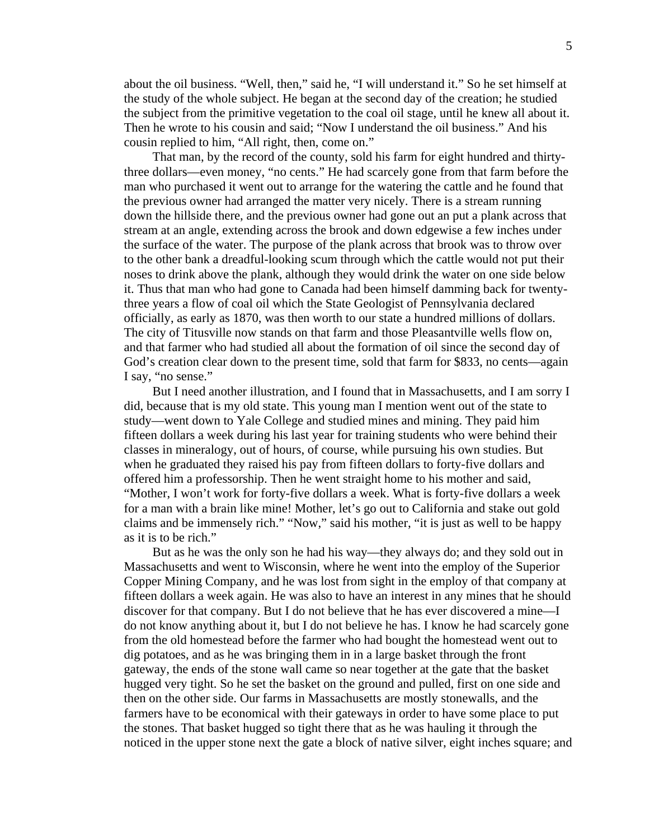about the oil business. "Well, then," said he, "I will understand it." So he set himself at the study of the whole subject. He began at the second day of the creation; he studied the subject from the primitive vegetation to the coal oil stage, until he knew all about it. Then he wrote to his cousin and said; "Now I understand the oil business." And his cousin replied to him, "All right, then, come on."

 That man, by the record of the county, sold his farm for eight hundred and thirtythree dollars—even money, "no cents." He had scarcely gone from that farm before the man who purchased it went out to arrange for the watering the cattle and he found that the previous owner had arranged the matter very nicely. There is a stream running down the hillside there, and the previous owner had gone out an put a plank across that stream at an angle, extending across the brook and down edgewise a few inches under the surface of the water. The purpose of the plank across that brook was to throw over to the other bank a dreadful-looking scum through which the cattle would not put their noses to drink above the plank, although they would drink the water on one side below it. Thus that man who had gone to Canada had been himself damming back for twentythree years a flow of coal oil which the State Geologist of Pennsylvania declared officially, as early as 1870, was then worth to our state a hundred millions of dollars. The city of Titusville now stands on that farm and those Pleasantville wells flow on, and that farmer who had studied all about the formation of oil since the second day of God's creation clear down to the present time, sold that farm for \$833, no cents—again I say, "no sense."

 But I need another illustration, and I found that in Massachusetts, and I am sorry I did, because that is my old state. This young man I mention went out of the state to study—went down to Yale College and studied mines and mining. They paid him fifteen dollars a week during his last year for training students who were behind their classes in mineralogy, out of hours, of course, while pursuing his own studies. But when he graduated they raised his pay from fifteen dollars to forty-five dollars and offered him a professorship. Then he went straight home to his mother and said, "Mother, I won't work for forty-five dollars a week. What is forty-five dollars a week for a man with a brain like mine! Mother, let's go out to California and stake out gold claims and be immensely rich." "Now," said his mother, "it is just as well to be happy as it is to be rich."

 But as he was the only son he had his way—they always do; and they sold out in Massachusetts and went to Wisconsin, where he went into the employ of the Superior Copper Mining Company, and he was lost from sight in the employ of that company at fifteen dollars a week again. He was also to have an interest in any mines that he should discover for that company. But I do not believe that he has ever discovered a mine—I do not know anything about it, but I do not believe he has. I know he had scarcely gone from the old homestead before the farmer who had bought the homestead went out to dig potatoes, and as he was bringing them in in a large basket through the front gateway, the ends of the stone wall came so near together at the gate that the basket hugged very tight. So he set the basket on the ground and pulled, first on one side and then on the other side. Our farms in Massachusetts are mostly stonewalls, and the farmers have to be economical with their gateways in order to have some place to put the stones. That basket hugged so tight there that as he was hauling it through the noticed in the upper stone next the gate a block of native silver, eight inches square; and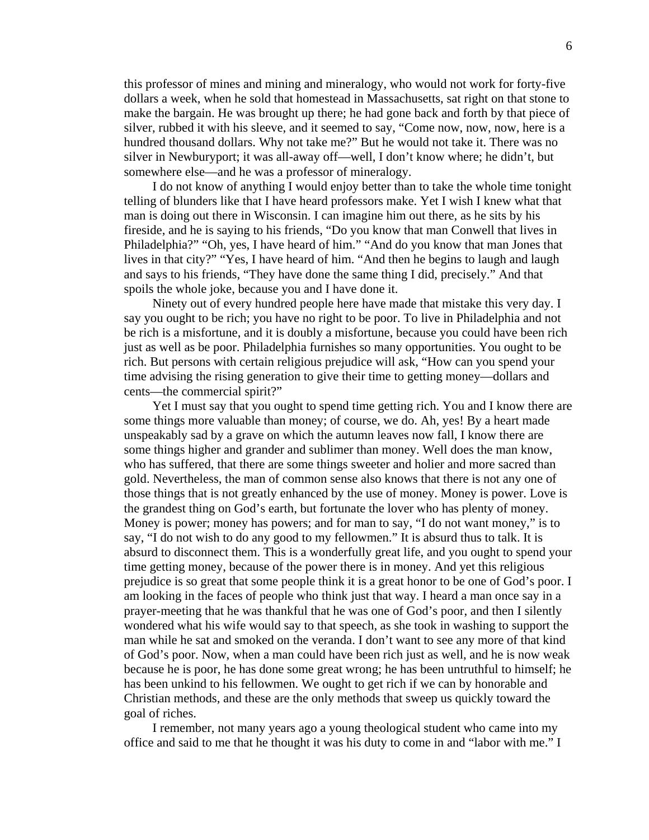this professor of mines and mining and mineralogy, who would not work for forty-five dollars a week, when he sold that homestead in Massachusetts, sat right on that stone to make the bargain. He was brought up there; he had gone back and forth by that piece of silver, rubbed it with his sleeve, and it seemed to say, "Come now, now, now, here is a hundred thousand dollars. Why not take me?" But he would not take it. There was no silver in Newburyport; it was all-away off—well, I don't know where; he didn't, but somewhere else—and he was a professor of mineralogy.

 I do not know of anything I would enjoy better than to take the whole time tonight telling of blunders like that I have heard professors make. Yet I wish I knew what that man is doing out there in Wisconsin. I can imagine him out there, as he sits by his fireside, and he is saying to his friends, "Do you know that man Conwell that lives in Philadelphia?" "Oh, yes, I have heard of him." "And do you know that man Jones that lives in that city?" "Yes, I have heard of him. "And then he begins to laugh and laugh and says to his friends, "They have done the same thing I did, precisely." And that spoils the whole joke, because you and I have done it.

 Ninety out of every hundred people here have made that mistake this very day. I say you ought to be rich; you have no right to be poor. To live in Philadelphia and not be rich is a misfortune, and it is doubly a misfortune, because you could have been rich just as well as be poor. Philadelphia furnishes so many opportunities. You ought to be rich. But persons with certain religious prejudice will ask, "How can you spend your time advising the rising generation to give their time to getting money—dollars and cents—the commercial spirit?"

 Yet I must say that you ought to spend time getting rich. You and I know there are some things more valuable than money; of course, we do. Ah, yes! By a heart made unspeakably sad by a grave on which the autumn leaves now fall, I know there are some things higher and grander and sublimer than money. Well does the man know, who has suffered, that there are some things sweeter and holier and more sacred than gold. Nevertheless, the man of common sense also knows that there is not any one of those things that is not greatly enhanced by the use of money. Money is power. Love is the grandest thing on God's earth, but fortunate the lover who has plenty of money. Money is power; money has powers; and for man to say, "I do not want money," is to say, "I do not wish to do any good to my fellowmen." It is absurd thus to talk. It is absurd to disconnect them. This is a wonderfully great life, and you ought to spend your time getting money, because of the power there is in money. And yet this religious prejudice is so great that some people think it is a great honor to be one of God's poor. I am looking in the faces of people who think just that way. I heard a man once say in a prayer-meeting that he was thankful that he was one of God's poor, and then I silently wondered what his wife would say to that speech, as she took in washing to support the man while he sat and smoked on the veranda. I don't want to see any more of that kind of God's poor. Now, when a man could have been rich just as well, and he is now weak because he is poor, he has done some great wrong; he has been untruthful to himself; he has been unkind to his fellowmen. We ought to get rich if we can by honorable and Christian methods, and these are the only methods that sweep us quickly toward the goal of riches.

 I remember, not many years ago a young theological student who came into my office and said to me that he thought it was his duty to come in and "labor with me." I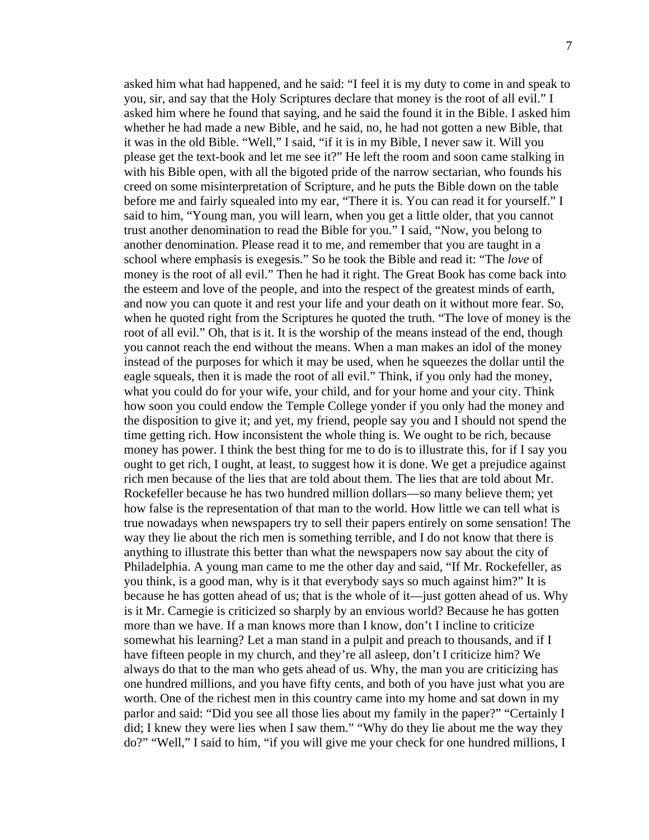asked him what had happened, and he said: "I feel it is my duty to come in and speak to you, sir, and say that the Holy Scriptures declare that money is the root of all evil." I asked him where he found that saying, and he said the found it in the Bible. I asked him whether he had made a new Bible, and he said, no, he had not gotten a new Bible, that it was in the old Bible. "Well," I said, "if it is in my Bible, I never saw it. Will you please get the text-book and let me see it?" He left the room and soon came stalking in with his Bible open, with all the bigoted pride of the narrow sectarian, who founds his creed on some misinterpretation of Scripture, and he puts the Bible down on the table before me and fairly squealed into my ear, "There it is. You can read it for yourself." I said to him, "Young man, you will learn, when you get a little older, that you cannot trust another denomination to read the Bible for you." I said, "Now, you belong to another denomination. Please read it to me, and remember that you are taught in a school where emphasis is exegesis." So he took the Bible and read it: "The *love* of money is the root of all evil." Then he had it right. The Great Book has come back into the esteem and love of the people, and into the respect of the greatest minds of earth, and now you can quote it and rest your life and your death on it without more fear. So, when he quoted right from the Scriptures he quoted the truth. "The love of money is the root of all evil." Oh, that is it. It is the worship of the means instead of the end, though you cannot reach the end without the means. When a man makes an idol of the money instead of the purposes for which it may be used, when he squeezes the dollar until the eagle squeals, then it is made the root of all evil." Think, if you only had the money, what you could do for your wife, your child, and for your home and your city. Think how soon you could endow the Temple College yonder if you only had the money and the disposition to give it; and yet, my friend, people say you and I should not spend the time getting rich. How inconsistent the whole thing is. We ought to be rich, because money has power. I think the best thing for me to do is to illustrate this, for if I say you ought to get rich, I ought, at least, to suggest how it is done. We get a prejudice against rich men because of the lies that are told about them. The lies that are told about Mr. Rockefeller because he has two hundred million dollars—so many believe them; yet how false is the representation of that man to the world. How little we can tell what is true nowadays when newspapers try to sell their papers entirely on some sensation! The way they lie about the rich men is something terrible, and I do not know that there is anything to illustrate this better than what the newspapers now say about the city of Philadelphia. A young man came to me the other day and said, "If Mr. Rockefeller, as you think, is a good man, why is it that everybody says so much against him?" It is because he has gotten ahead of us; that is the whole of it—just gotten ahead of us. Why is it Mr. Carnegie is criticized so sharply by an envious world? Because he has gotten more than we have. If a man knows more than I know, don't I incline to criticize somewhat his learning? Let a man stand in a pulpit and preach to thousands, and if I have fifteen people in my church, and they're all asleep, don't I criticize him? We always do that to the man who gets ahead of us. Why, the man you are criticizing has

one hundred millions, and you have fifty cents, and both of you have just what you are worth. One of the richest men in this country came into my home and sat down in my parlor and said: "Did you see all those lies about my family in the paper?" "Certainly I did; I knew they were lies when I saw them." "Why do they lie about me the way they do?" "Well," I said to him, "if you will give me your check for one hundred millions, I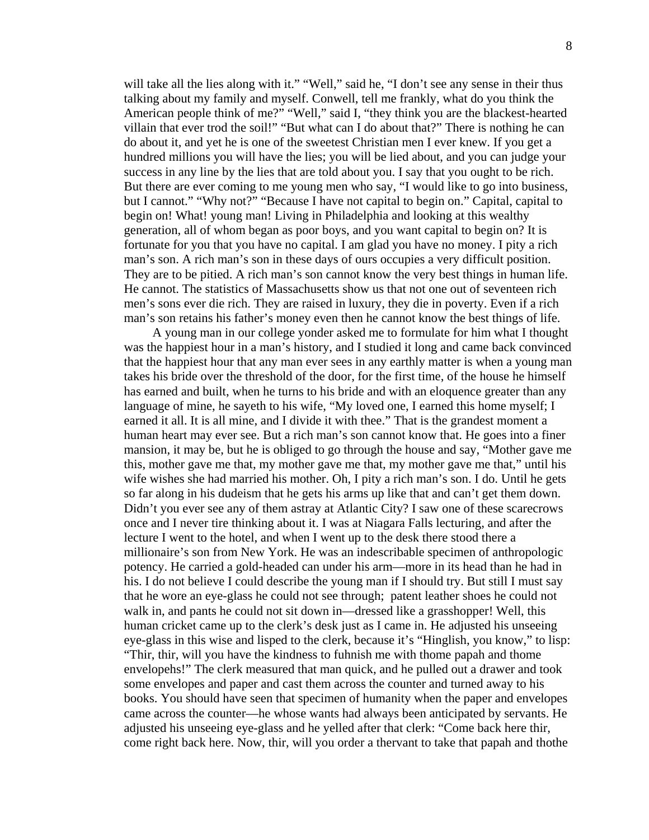will take all the lies along with it." "Well," said he, "I don't see any sense in their thus talking about my family and myself. Conwell, tell me frankly, what do you think the American people think of me?" "Well," said I, "they think you are the blackest-hearted villain that ever trod the soil!" "But what can I do about that?" There is nothing he can do about it, and yet he is one of the sweetest Christian men I ever knew. If you get a hundred millions you will have the lies; you will be lied about, and you can judge your success in any line by the lies that are told about you. I say that you ought to be rich. But there are ever coming to me young men who say, "I would like to go into business, but I cannot." "Why not?" "Because I have not capital to begin on." Capital, capital to begin on! What! young man! Living in Philadelphia and looking at this wealthy generation, all of whom began as poor boys, and you want capital to begin on? It is fortunate for you that you have no capital. I am glad you have no money. I pity a rich man's son. A rich man's son in these days of ours occupies a very difficult position. They are to be pitied. A rich man's son cannot know the very best things in human life. He cannot. The statistics of Massachusetts show us that not one out of seventeen rich men's sons ever die rich. They are raised in luxury, they die in poverty. Even if a rich man's son retains his father's money even then he cannot know the best things of life.

 A young man in our college yonder asked me to formulate for him what I thought was the happiest hour in a man's history, and I studied it long and came back convinced that the happiest hour that any man ever sees in any earthly matter is when a young man takes his bride over the threshold of the door, for the first time, of the house he himself has earned and built, when he turns to his bride and with an eloquence greater than any language of mine, he sayeth to his wife, "My loved one, I earned this home myself; I earned it all. It is all mine, and I divide it with thee." That is the grandest moment a human heart may ever see. But a rich man's son cannot know that. He goes into a finer mansion, it may be, but he is obliged to go through the house and say, "Mother gave me this, mother gave me that, my mother gave me that, my mother gave me that," until his wife wishes she had married his mother. Oh, I pity a rich man's son. I do. Until he gets so far along in his dudeism that he gets his arms up like that and can't get them down. Didn't you ever see any of them astray at Atlantic City? I saw one of these scarecrows once and I never tire thinking about it. I was at Niagara Falls lecturing, and after the lecture I went to the hotel, and when I went up to the desk there stood there a millionaire's son from New York. He was an indescribable specimen of anthropologic potency. He carried a gold-headed can under his arm—more in its head than he had in his. I do not believe I could describe the young man if I should try. But still I must say that he wore an eye-glass he could not see through; patent leather shoes he could not walk in, and pants he could not sit down in—dressed like a grasshopper! Well, this human cricket came up to the clerk's desk just as I came in. He adjusted his unseeing eye-glass in this wise and lisped to the clerk, because it's "Hinglish, you know," to lisp: "Thir, thir, will you have the kindness to fuhnish me with thome papah and thome envelopehs!" The clerk measured that man quick, and he pulled out a drawer and took some envelopes and paper and cast them across the counter and turned away to his books. You should have seen that specimen of humanity when the paper and envelopes came across the counter—he whose wants had always been anticipated by servants. He adjusted his unseeing eye-glass and he yelled after that clerk: "Come back here thir, come right back here. Now, thir, will you order a thervant to take that papah and thothe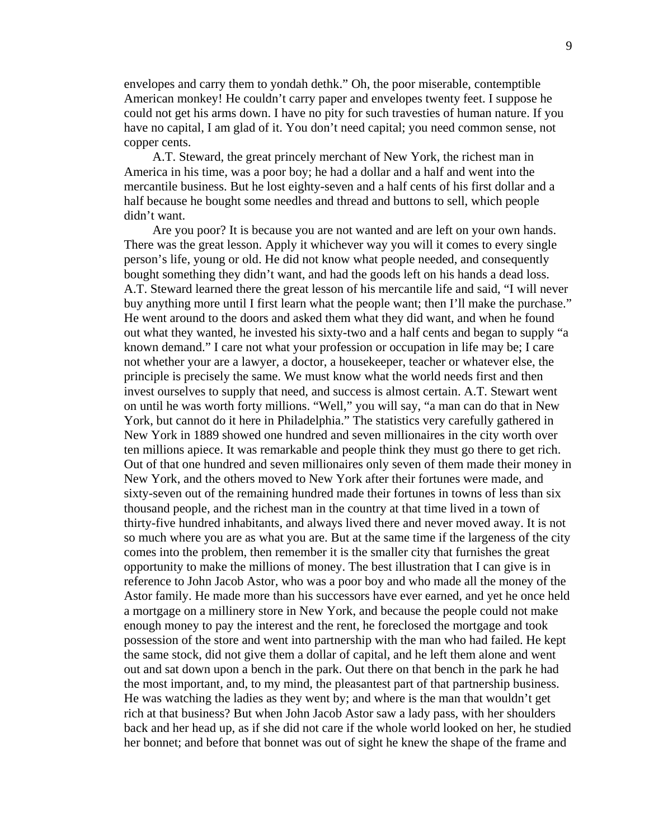envelopes and carry them to yondah dethk." Oh, the poor miserable, contemptible American monkey! He couldn't carry paper and envelopes twenty feet. I suppose he could not get his arms down. I have no pity for such travesties of human nature. If you have no capital, I am glad of it. You don't need capital; you need common sense, not copper cents.

 A.T. Steward, the great princely merchant of New York, the richest man in America in his time, was a poor boy; he had a dollar and a half and went into the mercantile business. But he lost eighty-seven and a half cents of his first dollar and a half because he bought some needles and thread and buttons to sell, which people didn't want.

 Are you poor? It is because you are not wanted and are left on your own hands. There was the great lesson. Apply it whichever way you will it comes to every single person's life, young or old. He did not know what people needed, and consequently bought something they didn't want, and had the goods left on his hands a dead loss. A.T. Steward learned there the great lesson of his mercantile life and said, "I will never buy anything more until I first learn what the people want; then I'll make the purchase." He went around to the doors and asked them what they did want, and when he found out what they wanted, he invested his sixty-two and a half cents and began to supply "a known demand." I care not what your profession or occupation in life may be; I care not whether your are a lawyer, a doctor, a housekeeper, teacher or whatever else, the principle is precisely the same. We must know what the world needs first and then invest ourselves to supply that need, and success is almost certain. A.T. Stewart went on until he was worth forty millions. "Well," you will say, "a man can do that in New York, but cannot do it here in Philadelphia." The statistics very carefully gathered in New York in 1889 showed one hundred and seven millionaires in the city worth over ten millions apiece. It was remarkable and people think they must go there to get rich. Out of that one hundred and seven millionaires only seven of them made their money in New York, and the others moved to New York after their fortunes were made, and sixty-seven out of the remaining hundred made their fortunes in towns of less than six thousand people, and the richest man in the country at that time lived in a town of thirty-five hundred inhabitants, and always lived there and never moved away. It is not so much where you are as what you are. But at the same time if the largeness of the city comes into the problem, then remember it is the smaller city that furnishes the great opportunity to make the millions of money. The best illustration that I can give is in reference to John Jacob Astor, who was a poor boy and who made all the money of the Astor family. He made more than his successors have ever earned, and yet he once held a mortgage on a millinery store in New York, and because the people could not make enough money to pay the interest and the rent, he foreclosed the mortgage and took possession of the store and went into partnership with the man who had failed. He kept the same stock, did not give them a dollar of capital, and he left them alone and went out and sat down upon a bench in the park. Out there on that bench in the park he had the most important, and, to my mind, the pleasantest part of that partnership business. He was watching the ladies as they went by; and where is the man that wouldn't get rich at that business? But when John Jacob Astor saw a lady pass, with her shoulders back and her head up, as if she did not care if the whole world looked on her, he studied her bonnet; and before that bonnet was out of sight he knew the shape of the frame and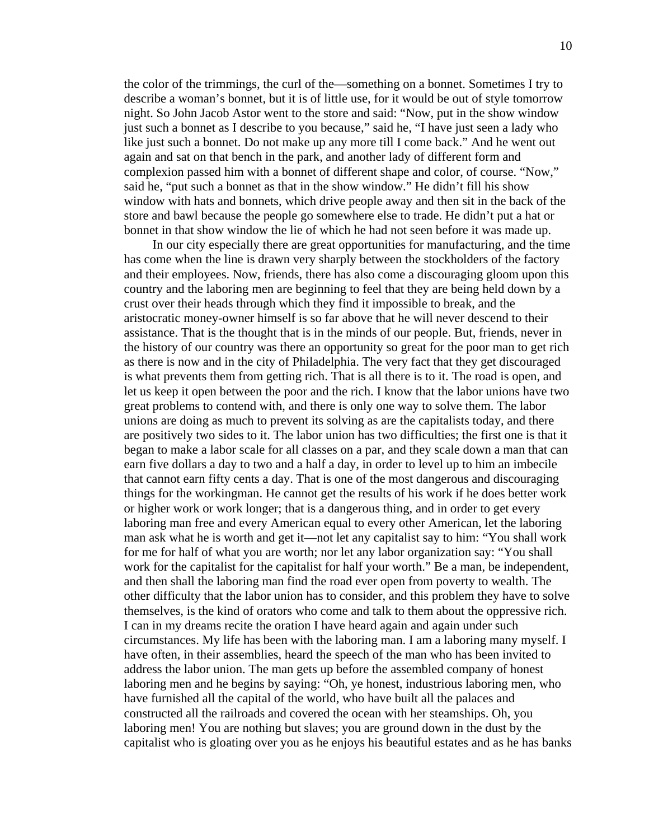the color of the trimmings, the curl of the—something on a bonnet. Sometimes I try to describe a woman's bonnet, but it is of little use, for it would be out of style tomorrow night. So John Jacob Astor went to the store and said: "Now, put in the show window just such a bonnet as I describe to you because," said he, "I have just seen a lady who like just such a bonnet. Do not make up any more till I come back." And he went out again and sat on that bench in the park, and another lady of different form and complexion passed him with a bonnet of different shape and color, of course. "Now," said he, "put such a bonnet as that in the show window." He didn't fill his show window with hats and bonnets, which drive people away and then sit in the back of the store and bawl because the people go somewhere else to trade. He didn't put a hat or bonnet in that show window the lie of which he had not seen before it was made up.

 In our city especially there are great opportunities for manufacturing, and the time has come when the line is drawn very sharply between the stockholders of the factory and their employees. Now, friends, there has also come a discouraging gloom upon this country and the laboring men are beginning to feel that they are being held down by a crust over their heads through which they find it impossible to break, and the aristocratic money-owner himself is so far above that he will never descend to their assistance. That is the thought that is in the minds of our people. But, friends, never in the history of our country was there an opportunity so great for the poor man to get rich as there is now and in the city of Philadelphia. The very fact that they get discouraged is what prevents them from getting rich. That is all there is to it. The road is open, and let us keep it open between the poor and the rich. I know that the labor unions have two great problems to contend with, and there is only one way to solve them. The labor unions are doing as much to prevent its solving as are the capitalists today, and there are positively two sides to it. The labor union has two difficulties; the first one is that it began to make a labor scale for all classes on a par, and they scale down a man that can earn five dollars a day to two and a half a day, in order to level up to him an imbecile that cannot earn fifty cents a day. That is one of the most dangerous and discouraging things for the workingman. He cannot get the results of his work if he does better work or higher work or work longer; that is a dangerous thing, and in order to get every laboring man free and every American equal to every other American, let the laboring man ask what he is worth and get it—not let any capitalist say to him: "You shall work for me for half of what you are worth; nor let any labor organization say: "You shall work for the capitalist for the capitalist for half your worth." Be a man, be independent, and then shall the laboring man find the road ever open from poverty to wealth. The other difficulty that the labor union has to consider, and this problem they have to solve themselves, is the kind of orators who come and talk to them about the oppressive rich. I can in my dreams recite the oration I have heard again and again under such circumstances. My life has been with the laboring man. I am a laboring many myself. I have often, in their assemblies, heard the speech of the man who has been invited to address the labor union. The man gets up before the assembled company of honest laboring men and he begins by saying: "Oh, ye honest, industrious laboring men, who have furnished all the capital of the world, who have built all the palaces and constructed all the railroads and covered the ocean with her steamships. Oh, you laboring men! You are nothing but slaves; you are ground down in the dust by the capitalist who is gloating over you as he enjoys his beautiful estates and as he has banks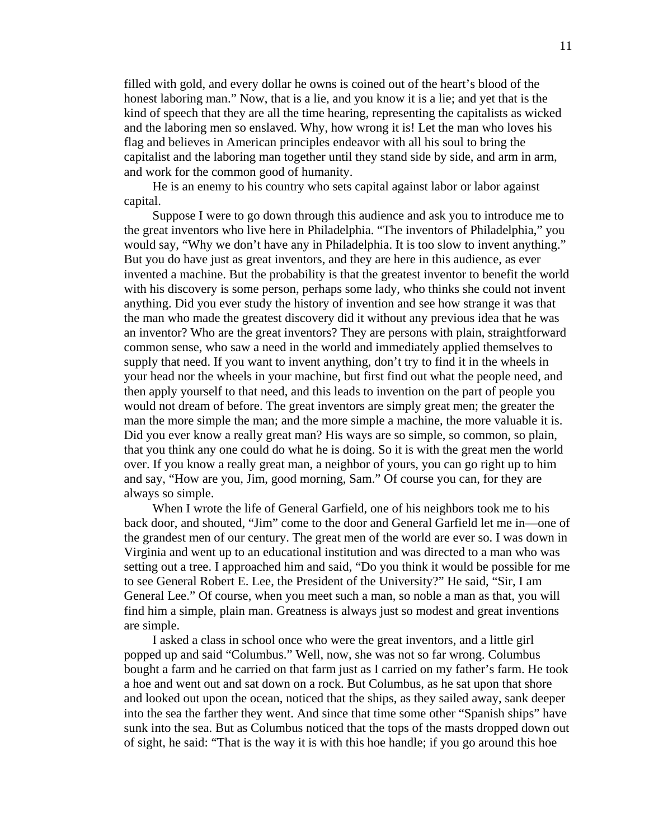filled with gold, and every dollar he owns is coined out of the heart's blood of the honest laboring man." Now, that is a lie, and you know it is a lie; and yet that is the kind of speech that they are all the time hearing, representing the capitalists as wicked and the laboring men so enslaved. Why, how wrong it is! Let the man who loves his flag and believes in American principles endeavor with all his soul to bring the capitalist and the laboring man together until they stand side by side, and arm in arm, and work for the common good of humanity.

 He is an enemy to his country who sets capital against labor or labor against capital.

 Suppose I were to go down through this audience and ask you to introduce me to the great inventors who live here in Philadelphia. "The inventors of Philadelphia," you would say, "Why we don't have any in Philadelphia. It is too slow to invent anything." But you do have just as great inventors, and they are here in this audience, as ever invented a machine. But the probability is that the greatest inventor to benefit the world with his discovery is some person, perhaps some lady, who thinks she could not invent anything. Did you ever study the history of invention and see how strange it was that the man who made the greatest discovery did it without any previous idea that he was an inventor? Who are the great inventors? They are persons with plain, straightforward common sense, who saw a need in the world and immediately applied themselves to supply that need. If you want to invent anything, don't try to find it in the wheels in your head nor the wheels in your machine, but first find out what the people need, and then apply yourself to that need, and this leads to invention on the part of people you would not dream of before. The great inventors are simply great men; the greater the man the more simple the man; and the more simple a machine, the more valuable it is. Did you ever know a really great man? His ways are so simple, so common, so plain, that you think any one could do what he is doing. So it is with the great men the world over. If you know a really great man, a neighbor of yours, you can go right up to him and say, "How are you, Jim, good morning, Sam." Of course you can, for they are always so simple.

 When I wrote the life of General Garfield, one of his neighbors took me to his back door, and shouted, "Jim" come to the door and General Garfield let me in—one of the grandest men of our century. The great men of the world are ever so. I was down in Virginia and went up to an educational institution and was directed to a man who was setting out a tree. I approached him and said, "Do you think it would be possible for me to see General Robert E. Lee, the President of the University?" He said, "Sir, I am General Lee." Of course, when you meet such a man, so noble a man as that, you will find him a simple, plain man. Greatness is always just so modest and great inventions are simple.

 I asked a class in school once who were the great inventors, and a little girl popped up and said "Columbus." Well, now, she was not so far wrong. Columbus bought a farm and he carried on that farm just as I carried on my father's farm. He took a hoe and went out and sat down on a rock. But Columbus, as he sat upon that shore and looked out upon the ocean, noticed that the ships, as they sailed away, sank deeper into the sea the farther they went. And since that time some other "Spanish ships" have sunk into the sea. But as Columbus noticed that the tops of the masts dropped down out of sight, he said: "That is the way it is with this hoe handle; if you go around this hoe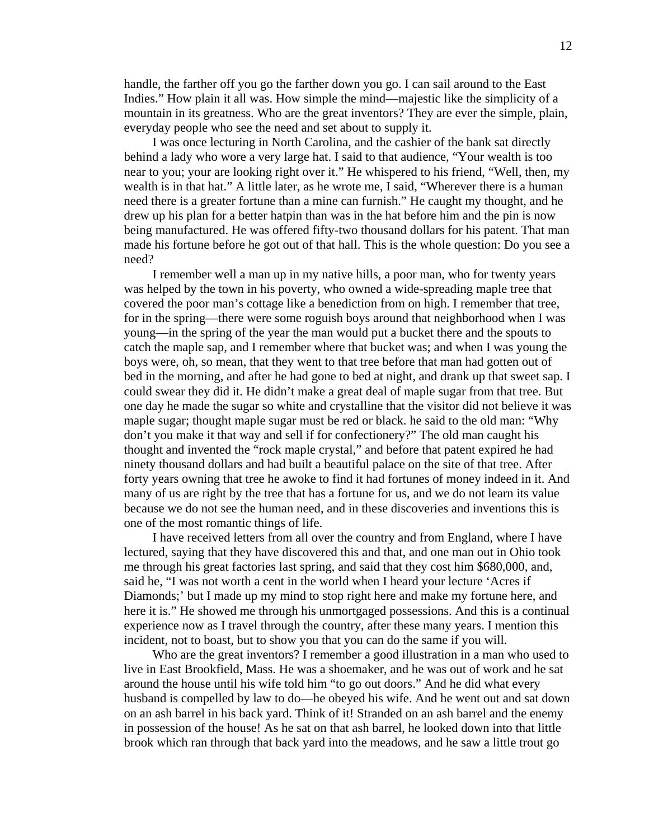handle, the farther off you go the farther down you go. I can sail around to the East Indies." How plain it all was. How simple the mind—majestic like the simplicity of a mountain in its greatness. Who are the great inventors? They are ever the simple, plain, everyday people who see the need and set about to supply it.

 I was once lecturing in North Carolina, and the cashier of the bank sat directly behind a lady who wore a very large hat. I said to that audience, "Your wealth is too near to you; your are looking right over it." He whispered to his friend, "Well, then, my wealth is in that hat." A little later, as he wrote me, I said, "Wherever there is a human need there is a greater fortune than a mine can furnish." He caught my thought, and he drew up his plan for a better hatpin than was in the hat before him and the pin is now being manufactured. He was offered fifty-two thousand dollars for his patent. That man made his fortune before he got out of that hall. This is the whole question: Do you see a need?

 I remember well a man up in my native hills, a poor man, who for twenty years was helped by the town in his poverty, who owned a wide-spreading maple tree that covered the poor man's cottage like a benediction from on high. I remember that tree, for in the spring—there were some roguish boys around that neighborhood when I was young—in the spring of the year the man would put a bucket there and the spouts to catch the maple sap, and I remember where that bucket was; and when I was young the boys were, oh, so mean, that they went to that tree before that man had gotten out of bed in the morning, and after he had gone to bed at night, and drank up that sweet sap. I could swear they did it. He didn't make a great deal of maple sugar from that tree. But one day he made the sugar so white and crystalline that the visitor did not believe it was maple sugar; thought maple sugar must be red or black. he said to the old man: "Why don't you make it that way and sell if for confectionery?" The old man caught his thought and invented the "rock maple crystal," and before that patent expired he had ninety thousand dollars and had built a beautiful palace on the site of that tree. After forty years owning that tree he awoke to find it had fortunes of money indeed in it. And many of us are right by the tree that has a fortune for us, and we do not learn its value because we do not see the human need, and in these discoveries and inventions this is one of the most romantic things of life.

 I have received letters from all over the country and from England, where I have lectured, saying that they have discovered this and that, and one man out in Ohio took me through his great factories last spring, and said that they cost him \$680,000, and, said he, "I was not worth a cent in the world when I heard your lecture 'Acres if Diamonds;' but I made up my mind to stop right here and make my fortune here, and here it is." He showed me through his unmortgaged possessions. And this is a continual experience now as I travel through the country, after these many years. I mention this incident, not to boast, but to show you that you can do the same if you will.

 Who are the great inventors? I remember a good illustration in a man who used to live in East Brookfield, Mass. He was a shoemaker, and he was out of work and he sat around the house until his wife told him "to go out doors." And he did what every husband is compelled by law to do—he obeyed his wife. And he went out and sat down on an ash barrel in his back yard. Think of it! Stranded on an ash barrel and the enemy in possession of the house! As he sat on that ash barrel, he looked down into that little brook which ran through that back yard into the meadows, and he saw a little trout go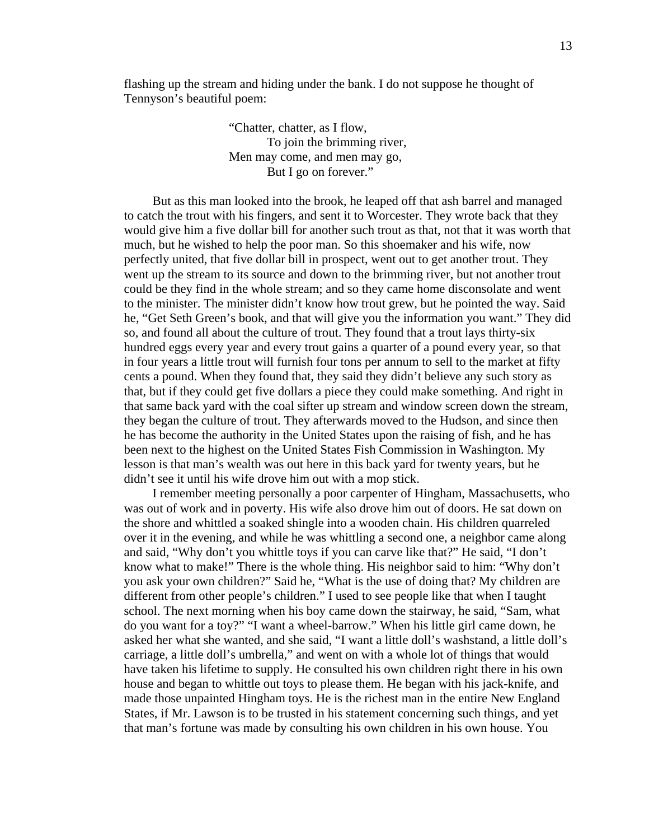flashing up the stream and hiding under the bank. I do not suppose he thought of Tennyson's beautiful poem:

> "Chatter, chatter, as I flow, To join the brimming river, Men may come, and men may go, But I go on forever."

 But as this man looked into the brook, he leaped off that ash barrel and managed to catch the trout with his fingers, and sent it to Worcester. They wrote back that they would give him a five dollar bill for another such trout as that, not that it was worth that much, but he wished to help the poor man. So this shoemaker and his wife, now perfectly united, that five dollar bill in prospect, went out to get another trout. They went up the stream to its source and down to the brimming river, but not another trout could be they find in the whole stream; and so they came home disconsolate and went to the minister. The minister didn't know how trout grew, but he pointed the way. Said he, "Get Seth Green's book, and that will give you the information you want." They did so, and found all about the culture of trout. They found that a trout lays thirty-six hundred eggs every year and every trout gains a quarter of a pound every year, so that in four years a little trout will furnish four tons per annum to sell to the market at fifty cents a pound. When they found that, they said they didn't believe any such story as that, but if they could get five dollars a piece they could make something. And right in that same back yard with the coal sifter up stream and window screen down the stream, they began the culture of trout. They afterwards moved to the Hudson, and since then he has become the authority in the United States upon the raising of fish, and he has been next to the highest on the United States Fish Commission in Washington. My lesson is that man's wealth was out here in this back yard for twenty years, but he didn't see it until his wife drove him out with a mop stick.

 I remember meeting personally a poor carpenter of Hingham, Massachusetts, who was out of work and in poverty. His wife also drove him out of doors. He sat down on the shore and whittled a soaked shingle into a wooden chain. His children quarreled over it in the evening, and while he was whittling a second one, a neighbor came along and said, "Why don't you whittle toys if you can carve like that?" He said, "I don't know what to make!" There is the whole thing. His neighbor said to him: "Why don't you ask your own children?" Said he, "What is the use of doing that? My children are different from other people's children." I used to see people like that when I taught school. The next morning when his boy came down the stairway, he said, "Sam, what do you want for a toy?" "I want a wheel-barrow." When his little girl came down, he asked her what she wanted, and she said, "I want a little doll's washstand, a little doll's carriage, a little doll's umbrella," and went on with a whole lot of things that would have taken his lifetime to supply. He consulted his own children right there in his own house and began to whittle out toys to please them. He began with his jack-knife, and made those unpainted Hingham toys. He is the richest man in the entire New England States, if Mr. Lawson is to be trusted in his statement concerning such things, and yet that man's fortune was made by consulting his own children in his own house. You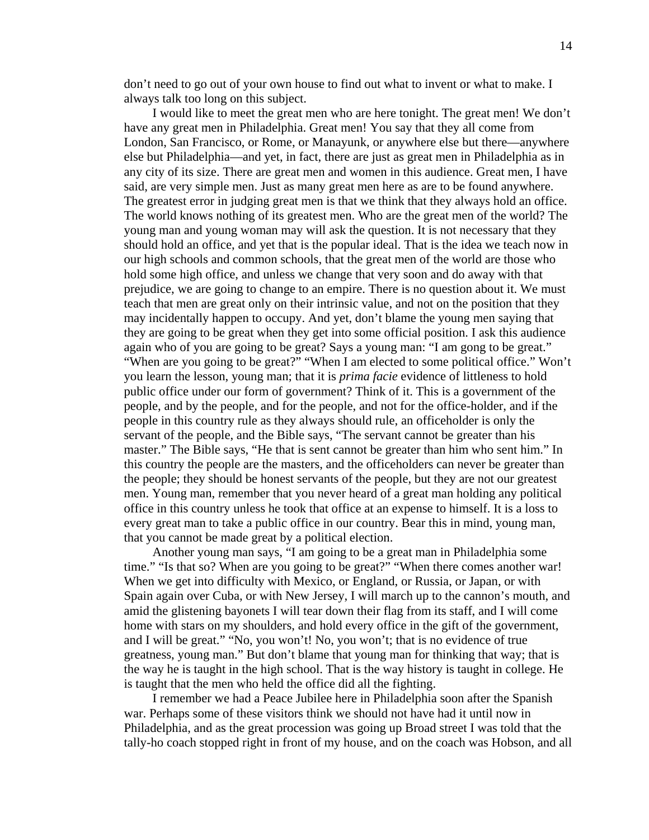don't need to go out of your own house to find out what to invent or what to make. I always talk too long on this subject.

 I would like to meet the great men who are here tonight. The great men! We don't have any great men in Philadelphia. Great men! You say that they all come from London, San Francisco, or Rome, or Manayunk, or anywhere else but there—anywhere else but Philadelphia—and yet, in fact, there are just as great men in Philadelphia as in any city of its size. There are great men and women in this audience. Great men, I have said, are very simple men. Just as many great men here as are to be found anywhere. The greatest error in judging great men is that we think that they always hold an office. The world knows nothing of its greatest men. Who are the great men of the world? The young man and young woman may will ask the question. It is not necessary that they should hold an office, and yet that is the popular ideal. That is the idea we teach now in our high schools and common schools, that the great men of the world are those who hold some high office, and unless we change that very soon and do away with that prejudice, we are going to change to an empire. There is no question about it. We must teach that men are great only on their intrinsic value, and not on the position that they may incidentally happen to occupy. And yet, don't blame the young men saying that they are going to be great when they get into some official position. I ask this audience again who of you are going to be great? Says a young man: "I am gong to be great." "When are you going to be great?" "When I am elected to some political office." Won't you learn the lesson, young man; that it is *prima facie* evidence of littleness to hold public office under our form of government? Think of it. This is a government of the people, and by the people, and for the people, and not for the office-holder, and if the people in this country rule as they always should rule, an officeholder is only the servant of the people, and the Bible says, "The servant cannot be greater than his master." The Bible says, "He that is sent cannot be greater than him who sent him." In this country the people are the masters, and the officeholders can never be greater than the people; they should be honest servants of the people, but they are not our greatest men. Young man, remember that you never heard of a great man holding any political office in this country unless he took that office at an expense to himself. It is a loss to every great man to take a public office in our country. Bear this in mind, young man, that you cannot be made great by a political election.

 Another young man says, "I am going to be a great man in Philadelphia some time." "Is that so? When are you going to be great?" "When there comes another war! When we get into difficulty with Mexico, or England, or Russia, or Japan, or with Spain again over Cuba, or with New Jersey, I will march up to the cannon's mouth, and amid the glistening bayonets I will tear down their flag from its staff, and I will come home with stars on my shoulders, and hold every office in the gift of the government, and I will be great." "No, you won't! No, you won't; that is no evidence of true greatness, young man." But don't blame that young man for thinking that way; that is the way he is taught in the high school. That is the way history is taught in college. He is taught that the men who held the office did all the fighting.

 I remember we had a Peace Jubilee here in Philadelphia soon after the Spanish war. Perhaps some of these visitors think we should not have had it until now in Philadelphia, and as the great procession was going up Broad street I was told that the tally-ho coach stopped right in front of my house, and on the coach was Hobson, and all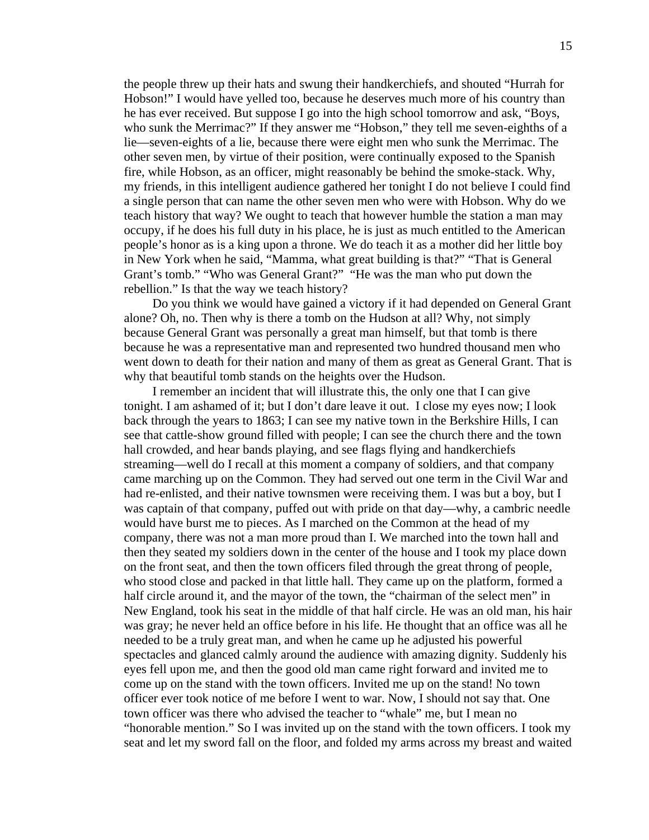the people threw up their hats and swung their handkerchiefs, and shouted "Hurrah for Hobson!" I would have yelled too, because he deserves much more of his country than he has ever received. But suppose I go into the high school tomorrow and ask, "Boys, who sunk the Merrimac?" If they answer me "Hobson," they tell me seven-eighths of a lie—seven-eights of a lie, because there were eight men who sunk the Merrimac. The other seven men, by virtue of their position, were continually exposed to the Spanish fire, while Hobson, as an officer, might reasonably be behind the smoke-stack. Why, my friends, in this intelligent audience gathered her tonight I do not believe I could find a single person that can name the other seven men who were with Hobson. Why do we teach history that way? We ought to teach that however humble the station a man may occupy, if he does his full duty in his place, he is just as much entitled to the American people's honor as is a king upon a throne. We do teach it as a mother did her little boy in New York when he said, "Mamma, what great building is that?" "That is General Grant's tomb." "Who was General Grant?" "He was the man who put down the rebellion." Is that the way we teach history?

 Do you think we would have gained a victory if it had depended on General Grant alone? Oh, no. Then why is there a tomb on the Hudson at all? Why, not simply because General Grant was personally a great man himself, but that tomb is there because he was a representative man and represented two hundred thousand men who went down to death for their nation and many of them as great as General Grant. That is why that beautiful tomb stands on the heights over the Hudson.

 I remember an incident that will illustrate this, the only one that I can give tonight. I am ashamed of it; but I don't dare leave it out. I close my eyes now; I look back through the years to 1863; I can see my native town in the Berkshire Hills, I can see that cattle-show ground filled with people; I can see the church there and the town hall crowded, and hear bands playing, and see flags flying and handkerchiefs streaming—well do I recall at this moment a company of soldiers, and that company came marching up on the Common. They had served out one term in the Civil War and had re-enlisted, and their native townsmen were receiving them. I was but a boy, but I was captain of that company, puffed out with pride on that day—why, a cambric needle would have burst me to pieces. As I marched on the Common at the head of my company, there was not a man more proud than I. We marched into the town hall and then they seated my soldiers down in the center of the house and I took my place down on the front seat, and then the town officers filed through the great throng of people, who stood close and packed in that little hall. They came up on the platform, formed a half circle around it, and the mayor of the town, the "chairman of the select men" in New England, took his seat in the middle of that half circle. He was an old man, his hair was gray; he never held an office before in his life. He thought that an office was all he needed to be a truly great man, and when he came up he adjusted his powerful spectacles and glanced calmly around the audience with amazing dignity. Suddenly his eyes fell upon me, and then the good old man came right forward and invited me to come up on the stand with the town officers. Invited me up on the stand! No town officer ever took notice of me before I went to war. Now, I should not say that. One town officer was there who advised the teacher to "whale" me, but I mean no "honorable mention." So I was invited up on the stand with the town officers. I took my seat and let my sword fall on the floor, and folded my arms across my breast and waited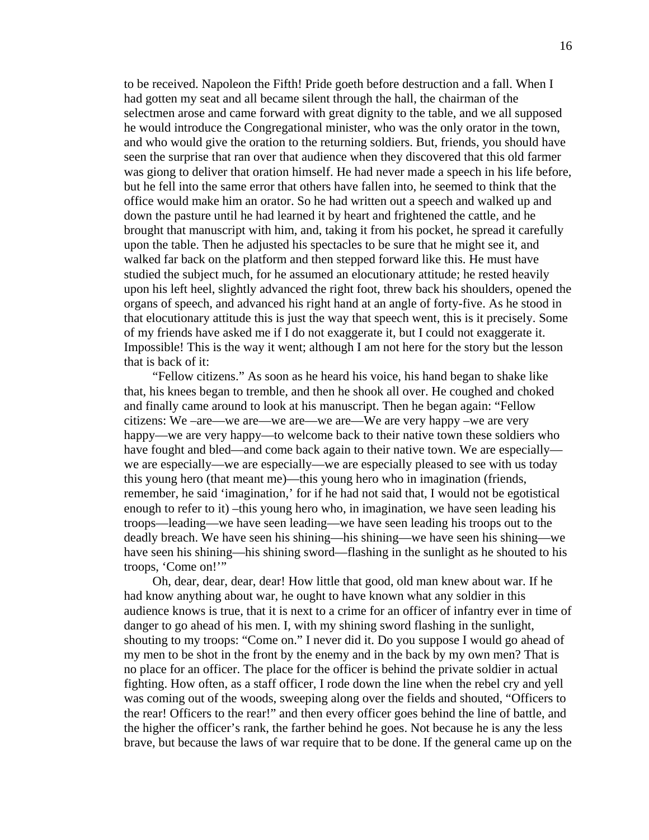to be received. Napoleon the Fifth! Pride goeth before destruction and a fall. When I had gotten my seat and all became silent through the hall, the chairman of the selectmen arose and came forward with great dignity to the table, and we all supposed he would introduce the Congregational minister, who was the only orator in the town, and who would give the oration to the returning soldiers. But, friends, you should have seen the surprise that ran over that audience when they discovered that this old farmer was giong to deliver that oration himself. He had never made a speech in his life before, but he fell into the same error that others have fallen into, he seemed to think that the office would make him an orator. So he had written out a speech and walked up and down the pasture until he had learned it by heart and frightened the cattle, and he brought that manuscript with him, and, taking it from his pocket, he spread it carefully upon the table. Then he adjusted his spectacles to be sure that he might see it, and walked far back on the platform and then stepped forward like this. He must have studied the subject much, for he assumed an elocutionary attitude; he rested heavily upon his left heel, slightly advanced the right foot, threw back his shoulders, opened the organs of speech, and advanced his right hand at an angle of forty-five. As he stood in that elocutionary attitude this is just the way that speech went, this is it precisely. Some of my friends have asked me if I do not exaggerate it, but I could not exaggerate it. Impossible! This is the way it went; although I am not here for the story but the lesson that is back of it:

 "Fellow citizens." As soon as he heard his voice, his hand began to shake like that, his knees began to tremble, and then he shook all over. He coughed and choked and finally came around to look at his manuscript. Then he began again: "Fellow citizens: We –are—we are—we are—we are—We are very happy –we are very happy—we are very happy—to welcome back to their native town these soldiers who have fought and bled—and come back again to their native town. We are especially we are especially—we are especially—we are especially pleased to see with us today this young hero (that meant me)—this young hero who in imagination (friends, remember, he said 'imagination,' for if he had not said that, I would not be egotistical enough to refer to it) –this young hero who, in imagination, we have seen leading his troops—leading—we have seen leading—we have seen leading his troops out to the deadly breach. We have seen his shining—his shining—we have seen his shining—we have seen his shining—his shining sword—flashing in the sunlight as he shouted to his troops, 'Come on!'"

 Oh, dear, dear, dear, dear! How little that good, old man knew about war. If he had know anything about war, he ought to have known what any soldier in this audience knows is true, that it is next to a crime for an officer of infantry ever in time of danger to go ahead of his men. I, with my shining sword flashing in the sunlight, shouting to my troops: "Come on." I never did it. Do you suppose I would go ahead of my men to be shot in the front by the enemy and in the back by my own men? That is no place for an officer. The place for the officer is behind the private soldier in actual fighting. How often, as a staff officer, I rode down the line when the rebel cry and yell was coming out of the woods, sweeping along over the fields and shouted, "Officers to the rear! Officers to the rear!" and then every officer goes behind the line of battle, and the higher the officer's rank, the farther behind he goes. Not because he is any the less brave, but because the laws of war require that to be done. If the general came up on the